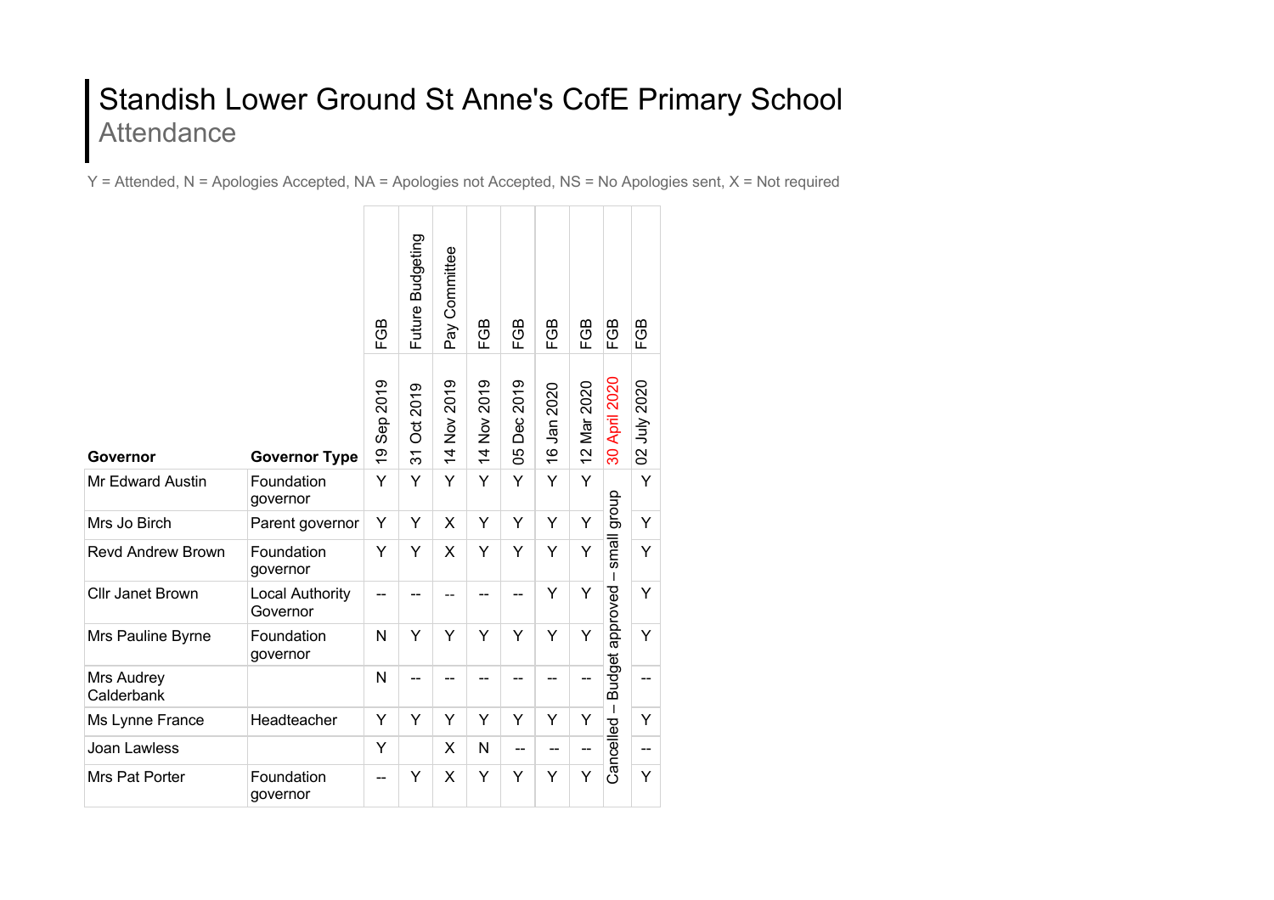## Standish Lower Ground St Anne's CofE Primary School **Attendance**

Y = Attended, N = Apologies Accepted, NA = Apologies not Accepted, NS = No Apologies sent, X = Not required

|                          |                             | FGB            | Future Budgeting           | Pay Committee | FGB         | മ<br><u>ଟ</u>     | FGB                          | FGB                     | FGB                                  | മ<br>쭌         |  |
|--------------------------|-----------------------------|----------------|----------------------------|---------------|-------------|-------------------|------------------------------|-------------------------|--------------------------------------|----------------|--|
| Governor                 | <b>Governor Type</b>        | Sep 2019<br>ó, | Oct 2019<br>$\overline{3}$ | 14 Nov 2019   | 14 Nov 2019 | 2019<br>Dec<br>90 | 2020<br>Jan<br>$\frac{6}{1}$ | Mar 2020<br>$\tilde{c}$ | <b>April 2020</b><br>$\overline{30}$ | July 2020<br>S |  |
| Mr Edward Austin         | Foundation<br>governor      | Y              | Υ                          | Υ             | Υ           | Y                 | Y                            | Y                       |                                      | Y              |  |
| Mrs Jo Birch             | Parent governor             | Y              | Y                          | X             | Y           | Y                 | Y                            | Y                       | dronb                                | Y              |  |
| <b>Revd Andrew Brown</b> | Foundation<br>governor      | Y              | Y                          | X             | Y           | Y                 | Y                            | Y                       | small<br>T                           | Y              |  |
| <b>Cllr Janet Brown</b>  | Local Authority<br>Governor | --             | --                         | --            |             |                   | Y                            | Υ                       | approved                             | Y              |  |
| Mrs Pauline Byrne        | Foundation<br>governor      | N              | Y                          | Y             | Y           | Y                 | Y                            | Y                       |                                      | Y              |  |
| Mrs Audrey<br>Calderbank |                             | N              | --                         |               |             |                   |                              |                         | Budget a                             | --             |  |
| Ms Lynne France          | Headteacher                 | Υ              | Υ                          | Υ             | Y           | Y                 | Y                            | Y                       | $\mathbf{I}$                         | Y              |  |
| Joan Lawless             |                             | Y              |                            | X             | N           | --                | --                           |                         | Cancelled                            | --             |  |
| Mrs Pat Porter           | Foundation<br>governor      |                | Υ                          | X             | Υ           | Υ                 | Y                            | Υ                       |                                      | Υ              |  |